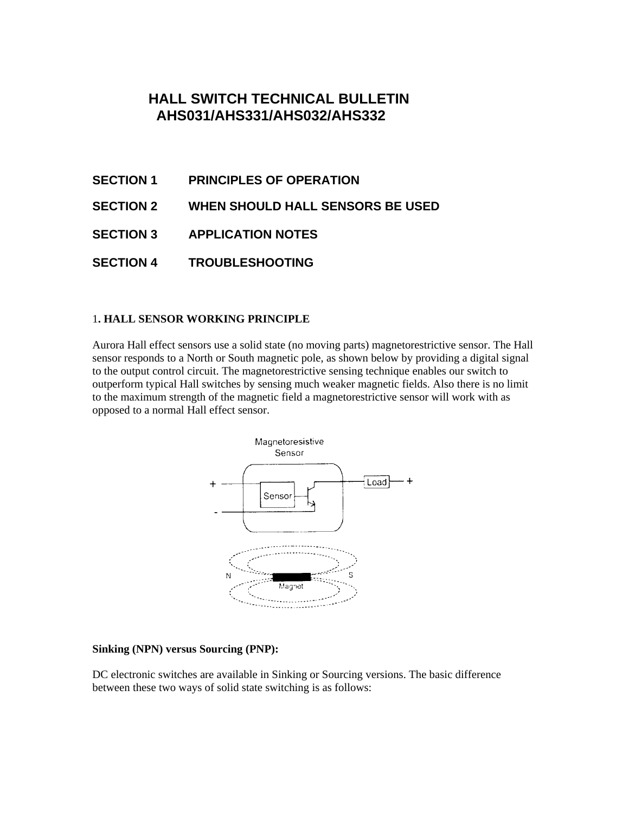# **HALL SWITCH TECHNICAL BULLETIN AHS031/AHS331/AHS032/AHS332**

- **SECTION 1 PRINCIPLES OF OPERATION**
- **SECTION 2 WHEN SHOULD HALL SENSORS BE USED**
- **SECTION 3 APPLICATION NOTES**
- **SECTION 4 TROUBLESHOOTING**

## 1**. HALL SENSOR WORKING PRINCIPLE**

Aurora Hall effect sensors use a solid state (no moving parts) magnetorestrictive sensor. The Hall sensor responds to a North or South magnetic pole, as shown below by providing a digital signal to the output control circuit. The magnetorestrictive sensing technique enables our switch to outperform typical Hall switches by sensing much weaker magnetic fields. Also there is no limit to the maximum strength of the magnetic field a magnetorestrictive sensor will work with as opposed to a normal Hall effect sensor.



### **Sinking (NPN) versus Sourcing (PNP):**

DC electronic switches are available in Sinking or Sourcing versions. The basic difference between these two ways of solid state switching is as follows: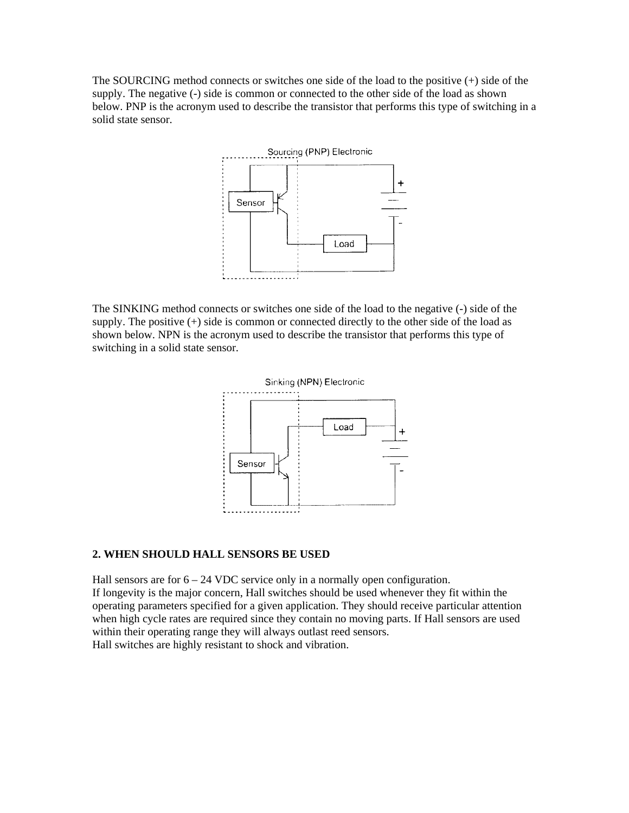The SOURCING method connects or switches one side of the load to the positive (+) side of the supply. The negative (-) side is common or connected to the other side of the load as shown below. PNP is the acronym used to describe the transistor that performs this type of switching in a solid state sensor.



The SINKING method connects or switches one side of the load to the negative (-) side of the supply. The positive (+) side is common or connected directly to the other side of the load as shown below. NPN is the acronym used to describe the transistor that performs this type of switching in a solid state sensor.



#### **2. WHEN SHOULD HALL SENSORS BE USED**

Hall sensors are for  $6 - 24$  VDC service only in a normally open configuration. If longevity is the major concern, Hall switches should be used whenever they fit within the operating parameters specified for a given application. They should receive particular attention when high cycle rates are required since they contain no moving parts. If Hall sensors are used within their operating range they will always outlast reed sensors. Hall switches are highly resistant to shock and vibration.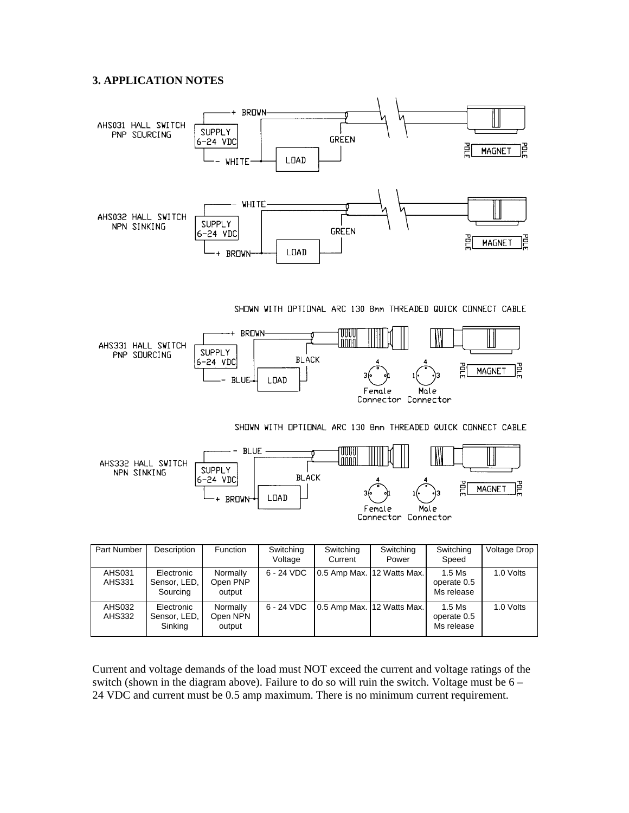#### **3. APPLICATION NOTES**



SHOWN WITH OPTIONAL ARC 130 8mm THREADED QUICK CONNECT CABLE



SHOWN WITH OPTIONAL ARC 130 8mm THREADED QUICK CONNECT CABLE



| Part Number                    | Description                            | <b>Function</b>                | Switching<br>Voltage | Switching<br>Current | Switching<br>Power          | Switching<br>Speed                    | Voltage Drop |
|--------------------------------|----------------------------------------|--------------------------------|----------------------|----------------------|-----------------------------|---------------------------------------|--------------|
| <b>AHS031</b><br>AHS331        | Electronic<br>Sensor, LED,<br>Sourcing | Normally<br>Open PNP<br>output | 6 - 24 VDC           |                      | 10.5 Amp Max. 12 Watts Max. | $1.5$ Ms<br>operate 0.5<br>Ms release | 1.0 Volts    |
| <b>AHS032</b><br><b>AHS332</b> | Electronic<br>Sensor, LED,<br>Sinking  | Normally<br>Open NPN<br>output | 6 - 24 VDC           |                      | 0.5 Amp Max. 12 Watts Max.  | $1.5$ Ms<br>operate 0.5<br>Ms release | 1.0 Volts    |

Current and voltage demands of the load must NOT exceed the current and voltage ratings of the switch (shown in the diagram above). Failure to do so will ruin the switch. Voltage must be  $6 -$ 24 VDC and current must be 0.5 amp maximum. There is no minimum current requirement.